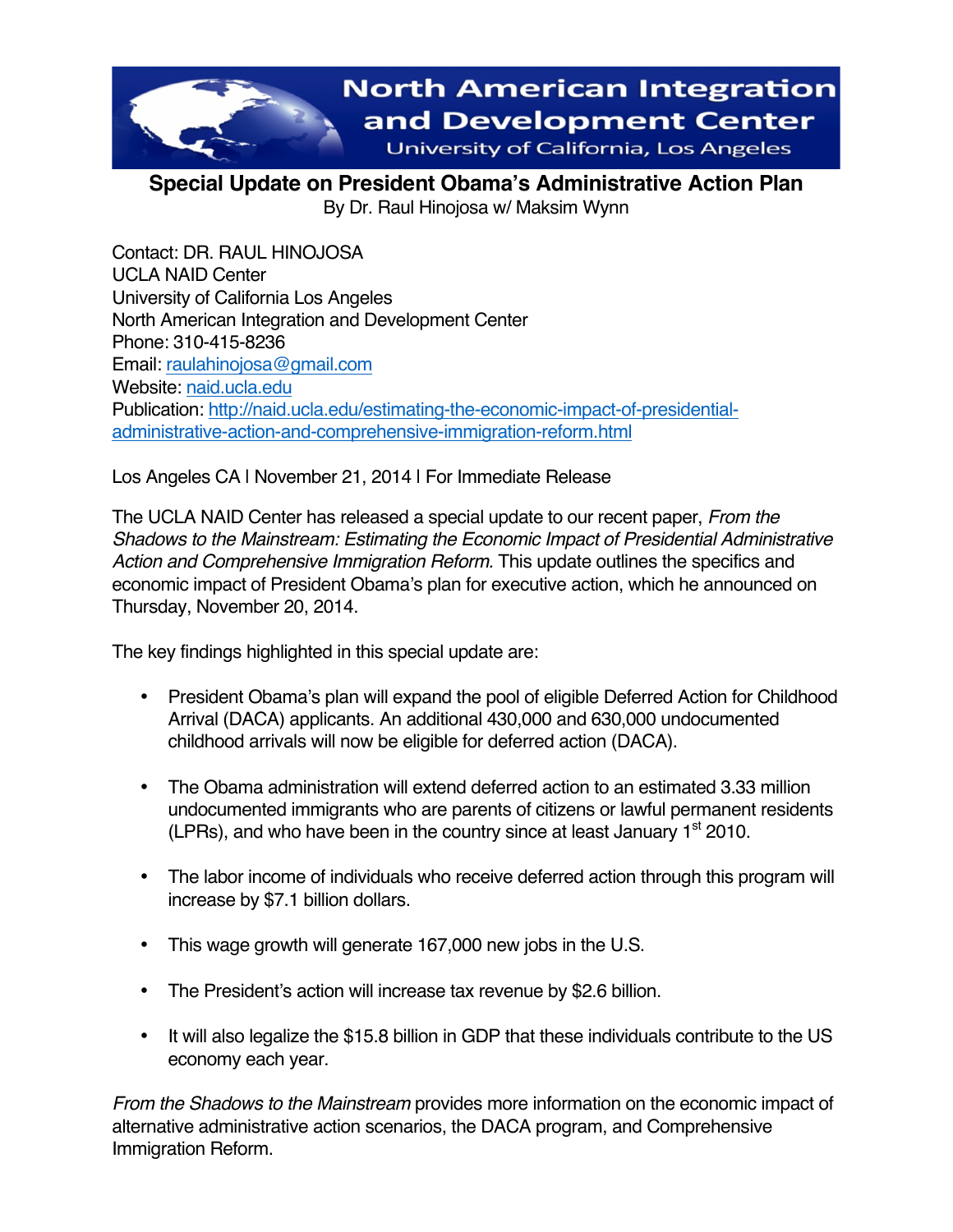

**Special Update on President Obama's Administrative Action Plan** By Dr. Raul Hinojosa w/ Maksim Wynn

Contact: DR. RAUL HINOJOSA UCLA NAID Center University of California Los Angeles North American Integration and Development Center Phone: 310-415-8236 Email: raulahinojosa@gmail.com Website: naid.ucla.edu Publication: http://naid.ucla.edu/estimating-the-economic-impact-of-presidentialadministrative-action-and-comprehensive-immigration-reform.html

Los Angeles CA | November 21, 2014 | For Immediate Release

The UCLA NAID Center has released a special update to our recent paper, *From the Shadows to the Mainstream: Estimating the Economic Impact of Presidential Administrative Action and Comprehensive Immigration Reform.* This update outlines the specifics and economic impact of President Obama's plan for executive action, which he announced on Thursday, November 20, 2014.

The key findings highlighted in this special update are:

- President Obama's plan will expand the pool of eligible Deferred Action for Childhood Arrival (DACA) applicants. An additional 430,000 and 630,000 undocumented childhood arrivals will now be eligible for deferred action (DACA).
- The Obama administration will extend deferred action to an estimated 3.33 million undocumented immigrants who are parents of citizens or lawful permanent residents (LPRs), and who have been in the country since at least January  $1<sup>st</sup>$  2010.
- The labor income of individuals who receive deferred action through this program will increase by \$7.1 billion dollars.
- This wage growth will generate 167,000 new jobs in the U.S.
- The President's action will increase tax revenue by \$2.6 billion.
- It will also legalize the \$15.8 billion in GDP that these individuals contribute to the US economy each year.

*From the Shadows to the Mainstream* provides more information on the economic impact of alternative administrative action scenarios, the DACA program, and Comprehensive Immigration Reform.